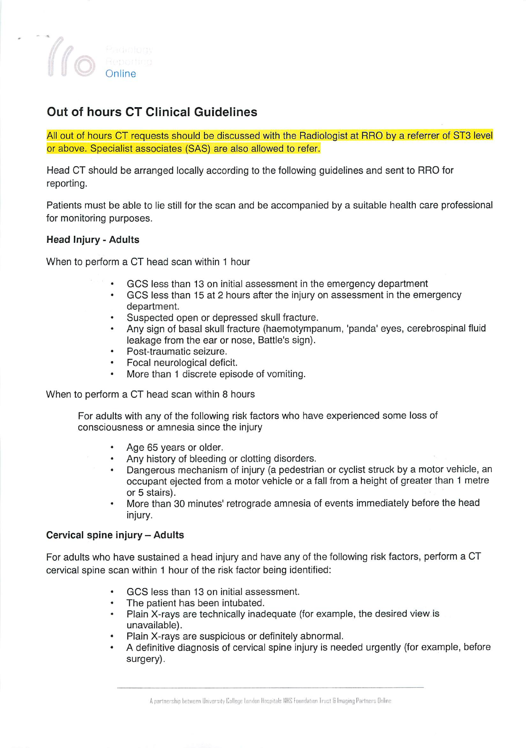

# Out of hours CT Clinical Guidelines

All out of hours CT requests should be discussed with the Radiologist at RRO by a referrer of ST3 level or above. Specialist associates (SAS) are also allowed to refer.

Head CT should be arranged locally according to the following guidelines and sent to RRO for reporting.

Patients must be able to lie still for the scan and be accompanied by a suitable health care professional for monitoring purposes.

### *Head Injury - Adults*

When to perform a CT head scan within 1 hour

- GCS less than 13 on initial assessment in the emergency department
- $\bullet$ GCS less than 15 at 2 hours after the injury on assessment in the emergency department.
- Suspected open or depressed skull fracture.
- Any sign of basal skull fracture (haemotympanum, 'panda' eyes, cerebrospinal fluid leakage from the ear or nose, Battle's sign).
- Post-traumatic seizure.  $\bullet$
- Focal neurological deficit.
- More than 1 discrete episode of vomiting.

When to perform a CT head scan within 8 hours

For adults with any of the following risk factors who have experienced some loss of consciousness or amnesia since the injury

- Age 65 years or older.
- Any history of bleeding or clotting disorders.
- Dangerous mechanism of injury (a pedestrian or cyclist struck by a motor vehicle, an occupant ejected from a motor vehicle or a fall from a height of greater than 1 metre or 5 stairs).
- More than 30 minutes' retrograde amnesia of events immediately before the head injury.

### *Cervical spine injury-Adults*

For adults who have sustained a head injury and have any of the following risk factors, perform a CT cervical spine scan within 1 hour of the risk factor being identified:

- GCS less than 13 on initial assessment.
- The patient has been intubated.
- Plain X-rays are technically inadequate (for example, the desired view is unavailable).
- Plain X-rays are suspicious or definitely abnormal.
- A definitive diagnosis of cervical spine injury is needed urgently (for example, before surgery).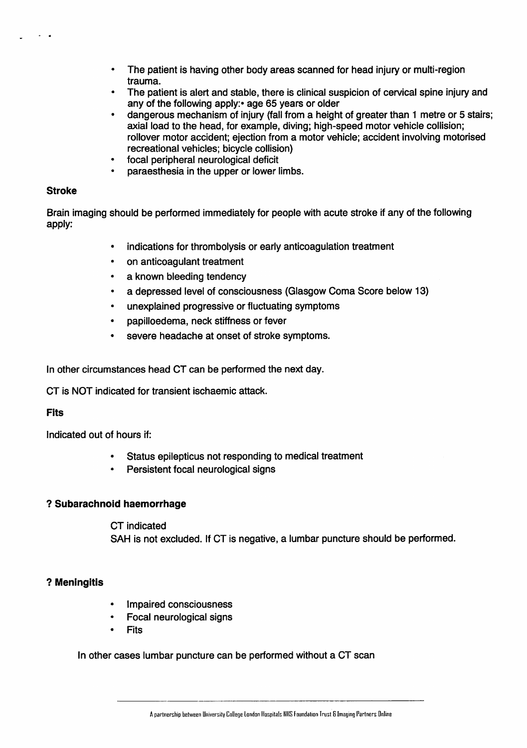- The patient is having other body areas scanned for head injury or multi-region  $\bullet$ trauma.
- The patient is alert and stable, there is clinical suspicion of cervical spine injury and any of the following apply: age 65 years or older
- dangerous mechanism of injury (fall from a height of greater than 1 metre or 5 stairs; axial load to the head, for example, diving; high-speed motor vehicle collision; rollover motor accident; ejection from a motor vehicle; accident involving motorised recreational vehicles; bicycle collision)
- focal peripheral neurological deficit
- paraesthesia in the upper or iower limbs.

## *Stroke*

Brain imaging should be performed immediately for people with acute stroke if any of the following apply:

- indications for thrombolysis or early anticoagulation treatment
- on anticoagulant treatment
- a known bleeding tendency
- a depressed level of consciousness (Glasgow Coma Score below 13)
- unexplained progressive or fluctuating symptoms
- papilloedema, neck stiffness or fever
- severe headache at onset of stroke symptoms.

In other circumstances head CT can be performed the next day.

CT is NOT indicated for transient ischaemic attack.

### Fits

Indicated out of hours if:

- Status epilepticus not responding to medical treatment
- Persistent focal neurological signs

### *? Subarachnoid haemorrhage*

CT indicated SAH is not excluded. If CT is negative, a lumbar puncture should be performed.

### ? *Meningitis*

- Impaired consciousness
- Focal neurological signs
- **Fits**

In other cases lumbar puncture can be performed without a CT scan